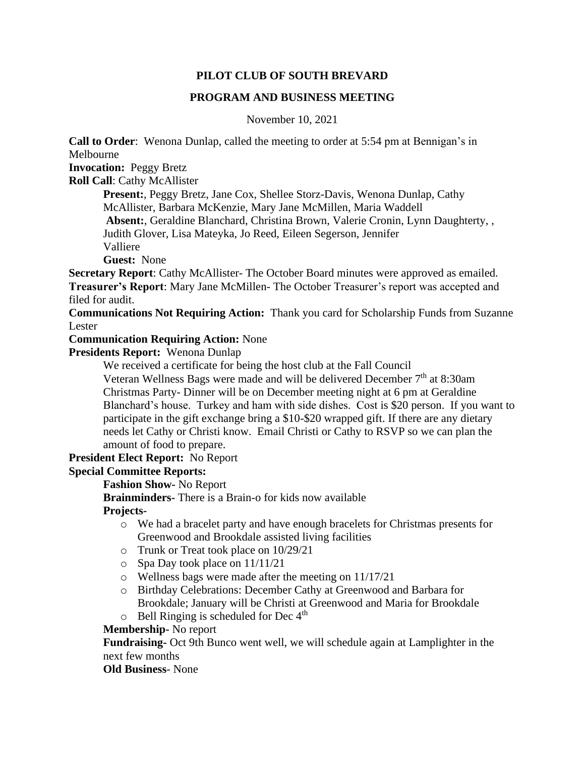## **PILOT CLUB OF SOUTH BREVARD**

## **PROGRAM AND BUSINESS MEETING**

November 10, 2021

**Call to Order**: Wenona Dunlap, called the meeting to order at 5:54 pm at Bennigan's in Melbourne

**Invocation:** Peggy Bretz

**Roll Call**: Cathy McAllister

**Present:**, Peggy Bretz, Jane Cox, Shellee Storz-Davis, Wenona Dunlap, Cathy McAllister, Barbara McKenzie, Mary Jane McMillen, Maria Waddell **Absent:**, Geraldine Blanchard, Christina Brown, Valerie Cronin, Lynn Daughterty, ,

Judith Glover, Lisa Mateyka, Jo Reed, Eileen Segerson, Jennifer

Valliere

**Guest:** None

**Secretary Report:** Cathy McAllister- The October Board minutes were approved as emailed. **Treasurer's Report**: Mary Jane McMillen- The October Treasurer's report was accepted and filed for audit.

**Communications Not Requiring Action:** Thank you card for Scholarship Funds from Suzanne Lester

**Communication Requiring Action:** None

**Presidents Report:** Wenona Dunlap

We received a certificate for being the host club at the Fall Council

Veteran Wellness Bags were made and will be delivered December 7<sup>th</sup> at 8:30am Christmas Party- Dinner will be on December meeting night at 6 pm at Geraldine Blanchard's house. Turkey and ham with side dishes. Cost is \$20 person. If you want to participate in the gift exchange bring a \$10-\$20 wrapped gift. If there are any dietary needs let Cathy or Christi know. Email Christi or Cathy to RSVP so we can plan the amount of food to prepare.

**President Elect Report:** No Report

## **Special Committee Reports:**

**Fashion Show-** No Report

**Brainminders-** There is a Brain-o for kids now available

## **Projects-**

- o We had a bracelet party and have enough bracelets for Christmas presents for Greenwood and Brookdale assisted living facilities
- o Trunk or Treat took place on 10/29/21
- o Spa Day took place on 11/11/21
- o Wellness bags were made after the meeting on 11/17/21
- o Birthday Celebrations: December Cathy at Greenwood and Barbara for Brookdale; January will be Christi at Greenwood and Maria for Brookdale  $\circ$  Bell Ringing is scheduled for Dec 4<sup>th</sup>

**Membership-** No report

**Fundraising-** Oct 9th Bunco went well, we will schedule again at Lamplighter in the next few months

**Old Business**- None